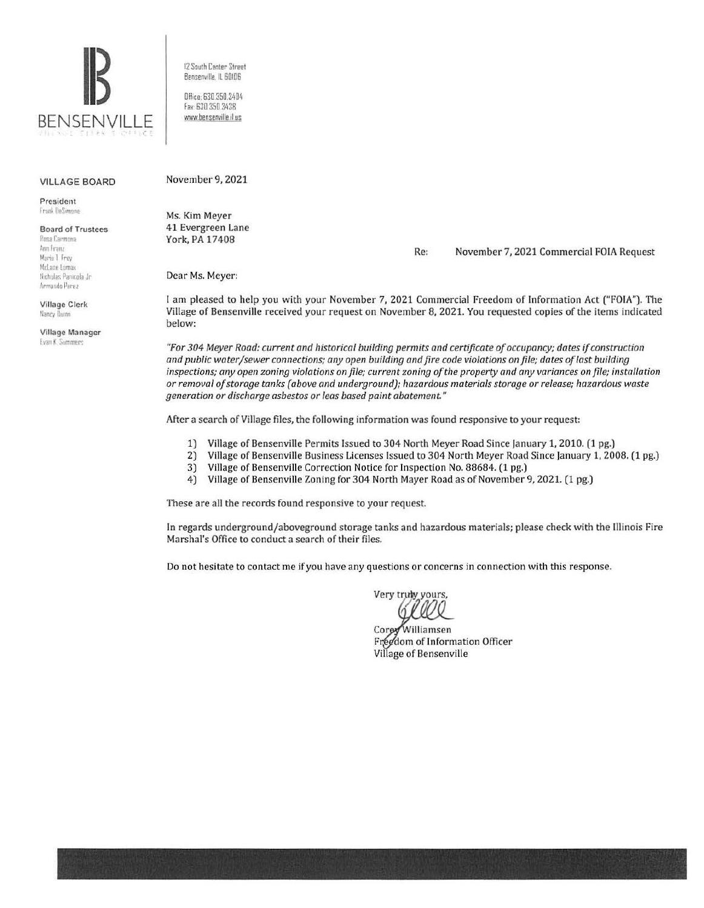

12 South Center Street Bensenville. IL 60106

Office: 630.350.3404 fa>. 630 350 3438 www.bensenville.il us

#### VILLAGE BOARD

President frank DoSimone

Board of Trustees Posa Carmona Ann Franz Marie 1 Frey McLane Lomax **Nicholas Panicela Jr.** Armando Perez

Village Clerk Nancy lluinn

Village Manager **Evan K. Summers** 

Ms. Kim Meyer

November 9, 2021

41 Evergreen Lane York, PA 17408

Re: November 7, 2021 Commercial FOIA Request

Dear Ms. Meyer:

I am pleased to help you with your November 7, 2021 Commercial Freedom of Information Act ("FOIA"). The Village of Bensenville received your request on November 8, 2021. You requested copies of the items indicated below:

*"For 304 Meyer Road: current and historical building permits and certificate of occupancy; dates if construction and public water/sewer connections; any open building and fire code violations on file; dates of last building inspections; any open zoning violations on file; current zoning of the property and any variances on file; installation or removal of storage tanks (above and underground); hazardous materials storage or release; hazardous waste generation or discharge asbestos or leas based paint abatement"* 

After a search of Village files, the following information was found responsive to your request:

- 1) Village of Bensenville Permits Issued to 304 North Meyer Road Since january 1, 2010. (1 pg.)
- 2) Village of Bensenville Business Licenses Issued to 304 North Meyer Road Since January 1, 2008. (1 pg.) 3) Village of Bensenville Correction Notice for Inspection No. 88684. (1 pg.)
	- 3) Village of Bensenville Correction Notice for Inspection No. 88684. (1 pg.)
- 4) Village of Bensenville Zoning for 304 North Mayer Road as of November 9, 2021. (1 pg.)

These are all the records found responsive to your request

In regards underground/aboveground storage tanks and hazardous materials; please check with the Illinois Fire Marshal's Office to conduct a search of their files.

Do not hesitate to contact me if you have any questions or concerns in connection with this response.

Very truly yours,

Corey Williamsen Freedom of Information Officer Village of Bensenville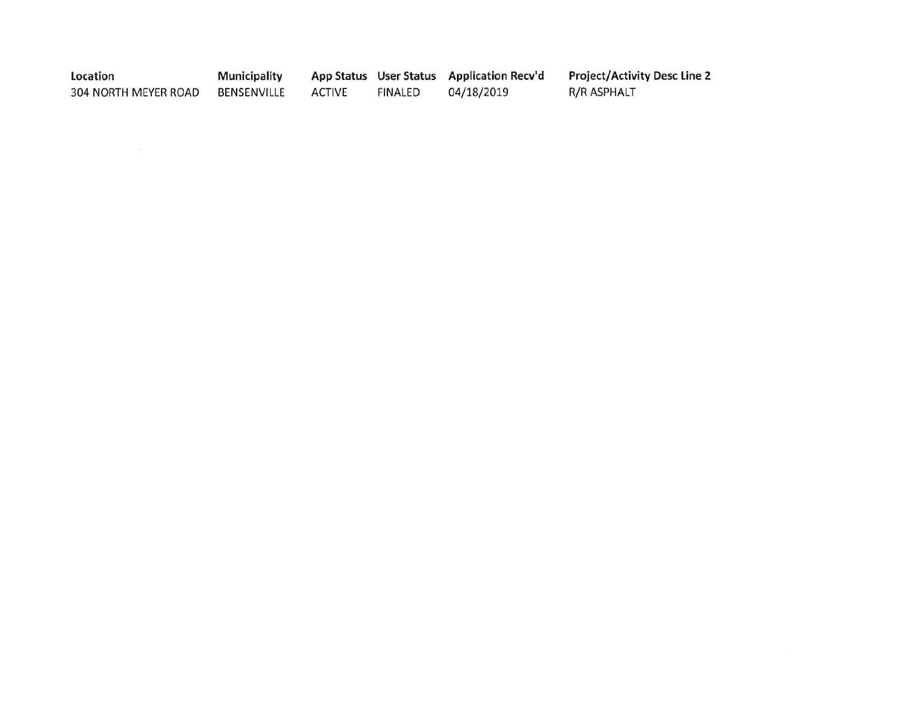| Location             | <b>Municipality</b> |               |         | App Status User Status Application Recv'd | <b>Project/Activity Desc Line 2</b> |
|----------------------|---------------------|---------------|---------|-------------------------------------------|-------------------------------------|
| 304 NORTH MEYER ROAD | BENSENVILLE         | <b>ACTIVE</b> | FINALED | 04/18/2019                                | R/R ASPHALT                         |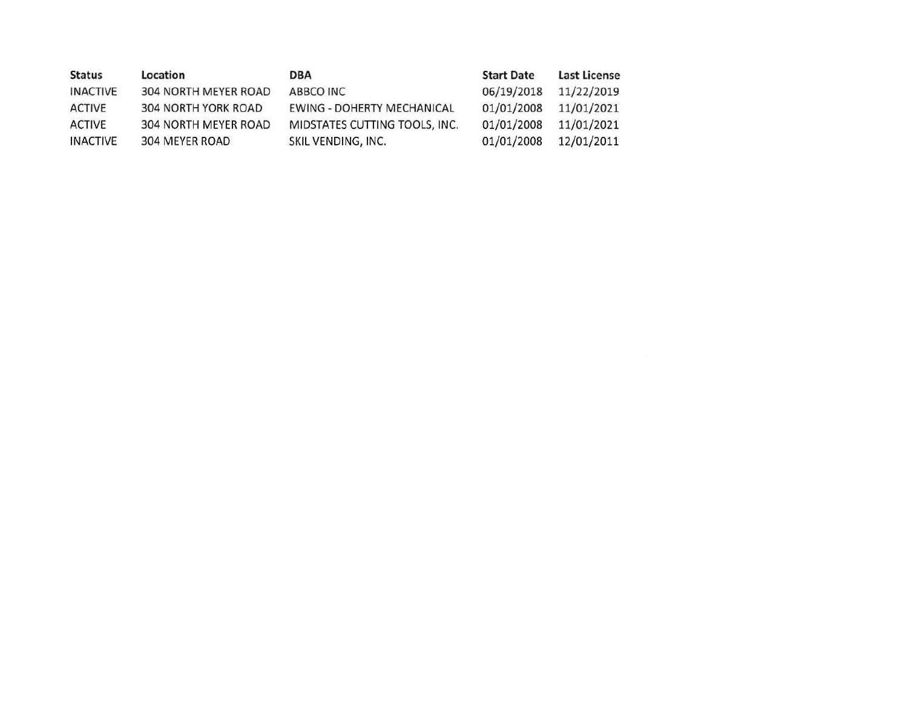| <b>Status</b>   | Location                   | <b>DBA</b>                        | <b>Start Date</b> | Last License |
|-----------------|----------------------------|-----------------------------------|-------------------|--------------|
| <b>INACTIVE</b> | 304 NORTH MEYER ROAD       | ABBCO INC                         | 06/19/2018        | 11/22/2019   |
| ACTIVE          | <b>304 NORTH YORK ROAD</b> | <b>EWING - DOHERTY MECHANICAL</b> | 01/01/2008        | 11/01/2021   |
| <b>ACTIVE</b>   | 304 NORTH MEYER ROAD       | MIDSTATES CUTTING TOOLS, INC.     | 01/01/2008        | 11/01/2021   |
| <b>INACTIVE</b> | 304 MEYER ROAD             | SKIL VENDING, INC.                | 01/01/2008        | 12/01/2011   |
|                 |                            |                                   |                   |              |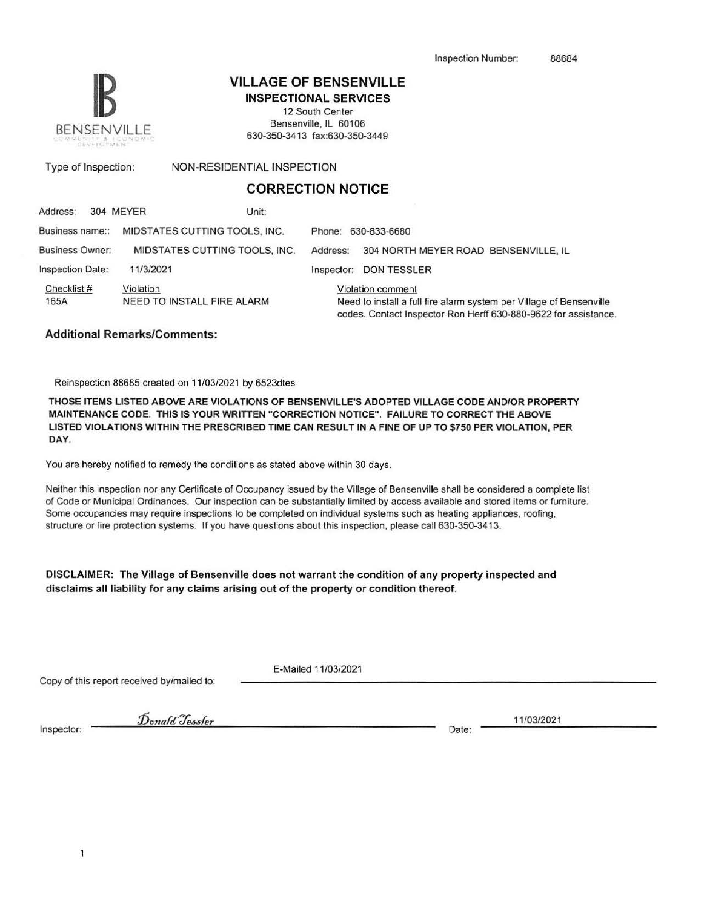

## **VILLAGE OF BENSENVILLE**

INSPECTIONAL SERVICES 12 South Center Bensenville, IL 60106 630-350-3413 fax:630-350-3449

Type of Inspection: NON-RESIDENTIAL INSPECTION

### **CORRECTION NOTICE**

| Address:                | 304 MEYER | Unit:                         |            |                                                                                                                                                             |                                      |
|-------------------------|-----------|-------------------------------|------------|-------------------------------------------------------------------------------------------------------------------------------------------------------------|--------------------------------------|
| Business name::         |           | MIDSTATES CUTTING TOOLS, INC. |            |                                                                                                                                                             | Phone: 630-833-6680                  |
| <b>Business Owner:</b>  |           | MIDSTATES CUTTING TOOLS, INC. | Address:   |                                                                                                                                                             | 304 NORTH MEYER ROAD BENSENVILLE, IL |
| <b>Inspection Date:</b> | 11/3/2021 |                               | Inspector: |                                                                                                                                                             | <b>DON TESSLER</b>                   |
| Checklist #<br>165A     | Violation | NEED TO INSTALL FIRE ALARM    |            | Violation comment<br>Need to install a full fire alarm system per Village of Bensenville<br>codes. Contact Inspector Ron Herff 630-880-9622 for assistance. |                                      |

### Additional Remarks/Comments:

Reinspection 88685 created on 11/03/2021 by 6523dtes

THOSE ITEMS LISTED ABOVE ARE VIOLATIONS OF BENSENVILLE'S ADOPTED VILLAGE CODE AND/OR PROPERTY MAINTENANCE CODE. THIS IS YOUR WRITIEN "CORRECTION NOTICE". FAILURE TO CORRECT THE ABOVE LISTED VIOLATIONS WITHIN THE PRESCRIBED TIME CAN RESULT IN A FINE OF UP TO \$750 PER VIOLATION, PER DAY.

You are hereby notified to remedy the conditions as stated above within 30 days.

Neither this inspection nor any Certificate of Occupancy issued by the Village of Bensenville shall be considered a complete list of Code or Municipal Ordinances. Our inspection can be substantially limited by access available and stored items or furniture. Some occupancies may require inspections to be completed on individual systems such as heating appliances, roofing, structure or fire protection systems. If you have questions about this inspection, please call 630-350-3413.

DISCLAIMER: The Village of Bensenville does not warrant the condition of any property inspected and disclaims all liability for any claims arising out of the property or condition thereof.

Copy of this report received by/mailed to:

E-Mailed 11/03/2021

Inspector: Date: Date: Date: Date: Date: Date: Date: Date: Date: Date: Date: Date: Date: Date: Date: Date: Date: Date: Date: Date: Date: Date: Date: Date: Date: Date: Date: Date: Date: Date: Date: Date: Date: Date: Date: D

11/03/2021